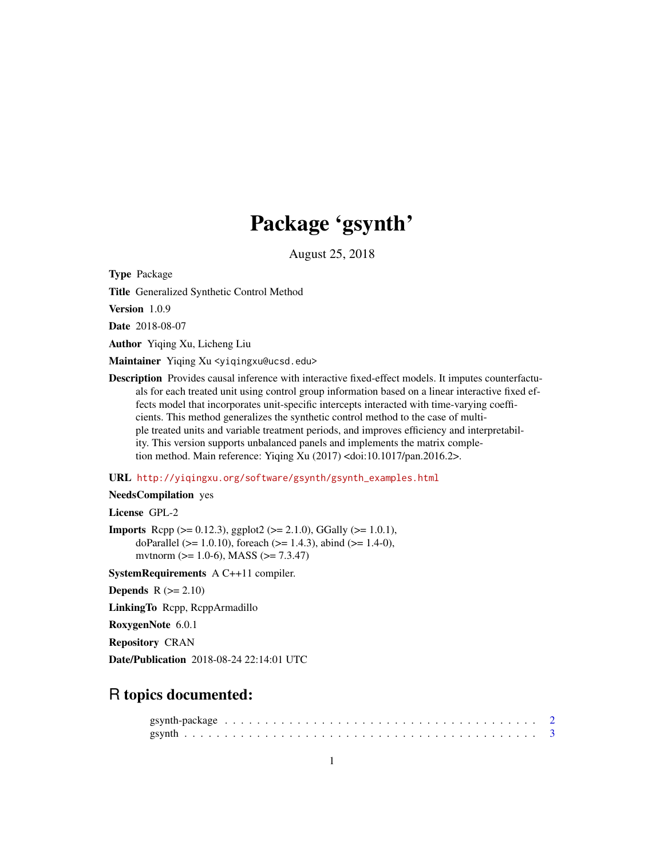# Package 'gsynth'

August 25, 2018

Type Package

Title Generalized Synthetic Control Method

Version 1.0.9

Date 2018-08-07

Author Yiqing Xu, Licheng Liu

Maintainer Yiqing Xu <yiqingxu@ucsd.edu>

Description Provides causal inference with interactive fixed-effect models. It imputes counterfactuals for each treated unit using control group information based on a linear interactive fixed effects model that incorporates unit-specific intercepts interacted with time-varying coefficients. This method generalizes the synthetic control method to the case of multiple treated units and variable treatment periods, and improves efficiency and interpretability. This version supports unbalanced panels and implements the matrix completion method. Main reference: Yiqing Xu (2017) <doi:10.1017/pan.2016.2>.

# URL [http://yiqingxu.org/software/gsynth/gsynth\\_examples.html](http://yiqingxu.org/software/gsynth/gsynth_examples.html)

# NeedsCompilation yes

License GPL-2

**Imports** Rcpp ( $>= 0.12.3$ ), ggplot2 ( $>= 2.1.0$ ), GGally ( $>= 1.0.1$ ), doParallel ( $>= 1.0.10$ ), foreach ( $>= 1.4.3$ ), abind ( $>= 1.4-0$ ), mvtnorm (>= 1.0-6), MASS (>= 7.3.47)

SystemRequirements A C++11 compiler.

Depends  $R (= 2.10)$ 

LinkingTo Rcpp, RcppArmadillo

RoxygenNote 6.0.1

Repository CRAN

Date/Publication 2018-08-24 22:14:01 UTC

# R topics documented: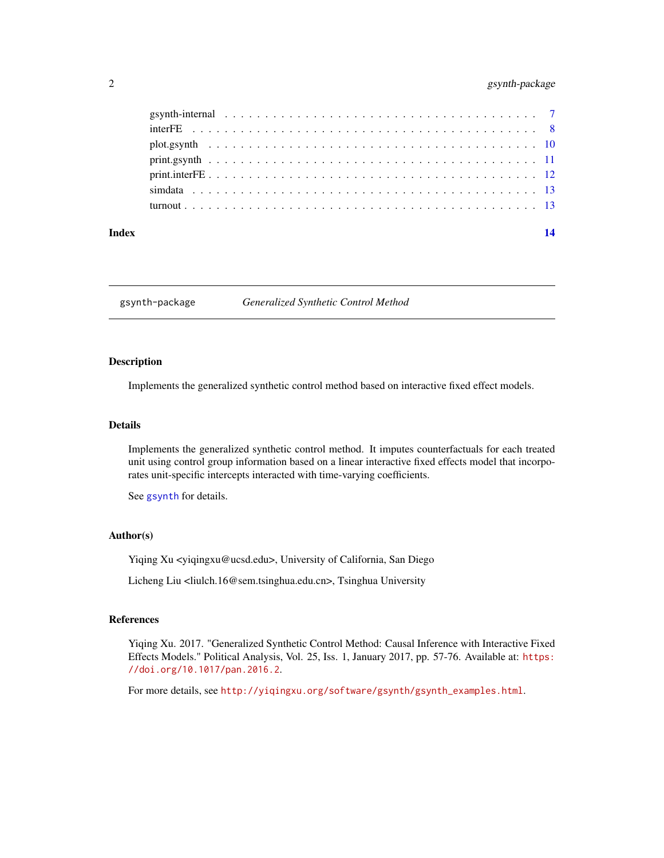# <span id="page-1-0"></span>2 gsynth-package

| Index | 14 |
|-------|----|
|       |    |
|       |    |
|       |    |
|       |    |
|       |    |
|       |    |
|       |    |

gsynth-package *Generalized Synthetic Control Method*

### Description

Implements the generalized synthetic control method based on interactive fixed effect models.

### Details

Implements the generalized synthetic control method. It imputes counterfactuals for each treated unit using control group information based on a linear interactive fixed effects model that incorporates unit-specific intercepts interacted with time-varying coefficients.

See [gsynth](#page-2-1) for details.

### Author(s)

Yiqing Xu <yiqingxu@ucsd.edu>, University of California, San Diego

Licheng Liu <liulch.16@sem.tsinghua.edu.cn>, Tsinghua University

### References

Yiqing Xu. 2017. "Generalized Synthetic Control Method: Causal Inference with Interactive Fixed Effects Models." Political Analysis, Vol. 25, Iss. 1, January 2017, pp. 57-76. Available at: [https:](https://doi.org/10.1017/pan.2016.2) [//doi.org/10.1017/pan.2016.2](https://doi.org/10.1017/pan.2016.2).

For more details, see [http://yiqingxu.org/software/gsynth/gsynth\\_examples.html](http://yiqingxu.org/software/gsynth/gsynth_examples.html).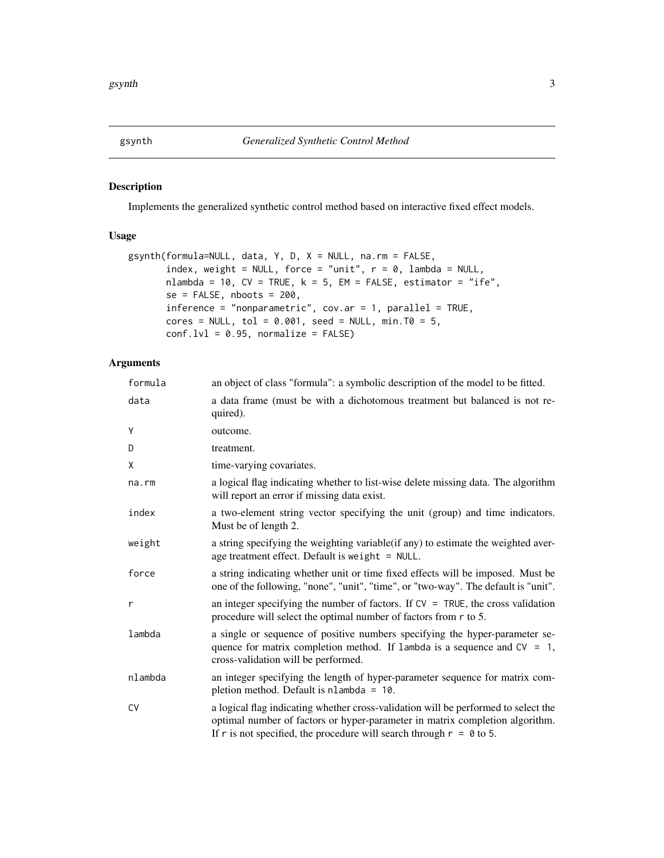# <span id="page-2-1"></span><span id="page-2-0"></span>Description

Implements the generalized synthetic control method based on interactive fixed effect models.

# Usage

```
gsynth(formula=NULL, data, Y, D, X = NULL, na.rm = FALSE,
       index, weight = NULL, force = "unit", r = 0, lambda = NULL,
      nlambda = 10, CV = TRUE, k = 5, EM = FALSE, estimator = "ife",
       se = FALSE, nboots = 200,
       inference = "nonparametric", cov.ar = 1, parallel = TRUE,cores = NULL, tol = 0.001, seed = NULL, min.T0 = 5,
      conf.lvl = 0.95, normalize = FALSE)
```
# Arguments

| formula   | an object of class "formula": a symbolic description of the model to be fitted.                                                                                                                                                              |
|-----------|----------------------------------------------------------------------------------------------------------------------------------------------------------------------------------------------------------------------------------------------|
| data      | a data frame (must be with a dichotomous treatment but balanced is not re-<br>quired).                                                                                                                                                       |
| Y         | outcome.                                                                                                                                                                                                                                     |
| D         | treatment.                                                                                                                                                                                                                                   |
| X         | time-varying covariates.                                                                                                                                                                                                                     |
| na.rm     | a logical flag indicating whether to list-wise delete missing data. The algorithm<br>will report an error if missing data exist.                                                                                                             |
| index     | a two-element string vector specifying the unit (group) and time indicators.<br>Must be of length 2.                                                                                                                                         |
| weight    | a string specifying the weighting variable (if any) to estimate the weighted aver-<br>age treatment effect. Default is weight = NULL.                                                                                                        |
| force     | a string indicating whether unit or time fixed effects will be imposed. Must be<br>one of the following, "none", "unit", "time", or "two-way". The default is "unit".                                                                        |
| r         | an integer specifying the number of factors. If $CV = TRUE$ , the cross validation<br>procedure will select the optimal number of factors from r to 5.                                                                                       |
| lambda    | a single or sequence of positive numbers specifying the hyper-parameter se-<br>quence for matrix completion method. If lambda is a sequence and $CV = 1$ ,<br>cross-validation will be performed.                                            |
| nlambda   | an integer specifying the length of hyper-parameter sequence for matrix com-<br>pletion method. Default is nlambda = 10.                                                                                                                     |
| <b>CV</b> | a logical flag indicating whether cross-validation will be performed to select the<br>optimal number of factors or hyper-parameter in matrix completion algorithm.<br>If r is not specified, the procedure will search through $r = 0$ to 5. |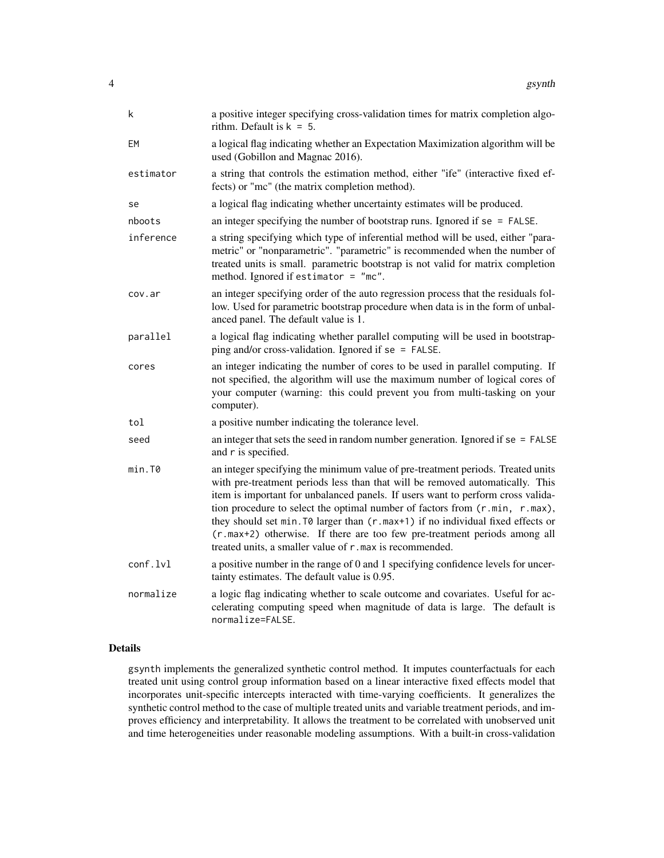| k         | a positive integer specifying cross-validation times for matrix completion algo-<br>rithm. Default is $k = 5$ .                                                                                                                                                                                                                                                                                                                                                                                                                                               |
|-----------|---------------------------------------------------------------------------------------------------------------------------------------------------------------------------------------------------------------------------------------------------------------------------------------------------------------------------------------------------------------------------------------------------------------------------------------------------------------------------------------------------------------------------------------------------------------|
| EМ        | a logical flag indicating whether an Expectation Maximization algorithm will be<br>used (Gobillon and Magnac 2016).                                                                                                                                                                                                                                                                                                                                                                                                                                           |
| estimator | a string that controls the estimation method, either "ife" (interactive fixed ef-<br>fects) or "mc" (the matrix completion method).                                                                                                                                                                                                                                                                                                                                                                                                                           |
| se        | a logical flag indicating whether uncertainty estimates will be produced.                                                                                                                                                                                                                                                                                                                                                                                                                                                                                     |
| nboots    | an integer specifying the number of bootstrap runs. Ignored if $se = FALSE$ .                                                                                                                                                                                                                                                                                                                                                                                                                                                                                 |
| inference | a string specifying which type of inferential method will be used, either "para-<br>metric" or "nonparametric". "parametric" is recommended when the number of<br>treated units is small. parametric bootstrap is not valid for matrix completion<br>method. Ignored if estimator $=$ "mc".                                                                                                                                                                                                                                                                   |
| cov.ar    | an integer specifying order of the auto regression process that the residuals fol-<br>low. Used for parametric bootstrap procedure when data is in the form of unbal-<br>anced panel. The default value is 1.                                                                                                                                                                                                                                                                                                                                                 |
| parallel  | a logical flag indicating whether parallel computing will be used in bootstrap-<br>ping and/or cross-validation. Ignored if $se = FALSE$ .                                                                                                                                                                                                                                                                                                                                                                                                                    |
| cores     | an integer indicating the number of cores to be used in parallel computing. If<br>not specified, the algorithm will use the maximum number of logical cores of<br>your computer (warning: this could prevent you from multi-tasking on your<br>computer).                                                                                                                                                                                                                                                                                                     |
| tol       | a positive number indicating the tolerance level.                                                                                                                                                                                                                                                                                                                                                                                                                                                                                                             |
| seed      | an integer that sets the seed in random number generation. Ignored if $se = FALSE$<br>and r is specified.                                                                                                                                                                                                                                                                                                                                                                                                                                                     |
| min.T0    | an integer specifying the minimum value of pre-treatment periods. Treated units<br>with pre-treatment periods less than that will be removed automatically. This<br>item is important for unbalanced panels. If users want to perform cross valida-<br>tion procedure to select the optimal number of factors from (r.min, r.max),<br>they should set min. T0 larger than (r.max+1) if no individual fixed effects or<br>(r.max+2) otherwise. If there are too few pre-treatment periods among all<br>treated units, a smaller value of r.max is recommended. |
| conf.lvl  | a positive number in the range of 0 and 1 specifying confidence levels for uncer-<br>tainty estimates. The default value is 0.95.                                                                                                                                                                                                                                                                                                                                                                                                                             |
| normalize | a logic flag indicating whether to scale outcome and covariates. Useful for ac-<br>celerating computing speed when magnitude of data is large. The default is<br>normalize=FALSE.                                                                                                                                                                                                                                                                                                                                                                             |

# Details

gsynth implements the generalized synthetic control method. It imputes counterfactuals for each treated unit using control group information based on a linear interactive fixed effects model that incorporates unit-specific intercepts interacted with time-varying coefficients. It generalizes the synthetic control method to the case of multiple treated units and variable treatment periods, and improves efficiency and interpretability. It allows the treatment to be correlated with unobserved unit and time heterogeneities under reasonable modeling assumptions. With a built-in cross-validation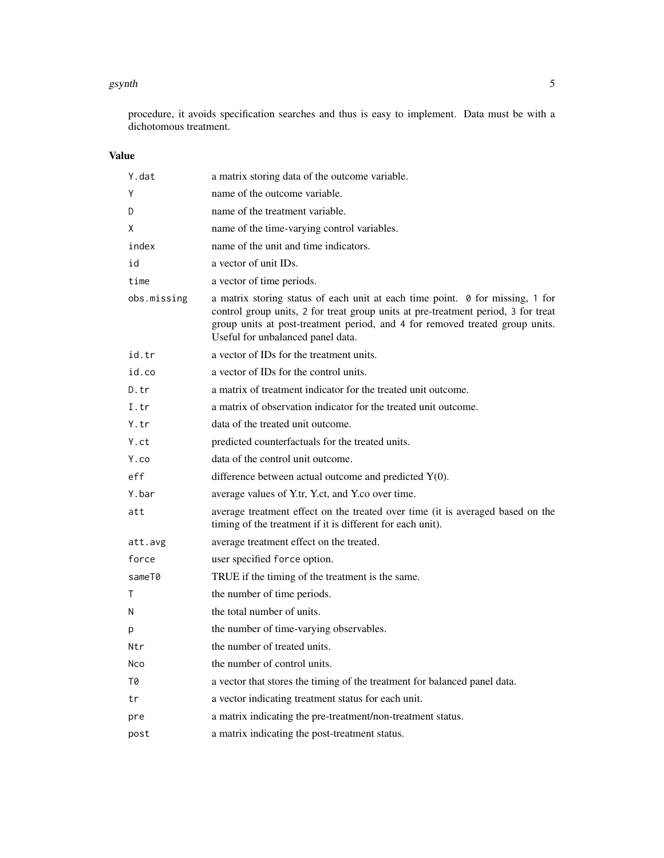### gsynth 5

procedure, it avoids specification searches and thus is easy to implement. Data must be with a dichotomous treatment.

# Value

| Y.dat       | a matrix storing data of the outcome variable.                                                                                                                                                                                                                                          |
|-------------|-----------------------------------------------------------------------------------------------------------------------------------------------------------------------------------------------------------------------------------------------------------------------------------------|
| Y           | name of the outcome variable.                                                                                                                                                                                                                                                           |
| D           | name of the treatment variable.                                                                                                                                                                                                                                                         |
| X           | name of the time-varying control variables.                                                                                                                                                                                                                                             |
| index       | name of the unit and time indicators.                                                                                                                                                                                                                                                   |
| id          | a vector of unit IDs.                                                                                                                                                                                                                                                                   |
| time        | a vector of time periods.                                                                                                                                                                                                                                                               |
| obs.missing | a matrix storing status of each unit at each time point. 0 for missing, 1 for<br>control group units, 2 for treat group units at pre-treatment period, 3 for treat<br>group units at post-treatment period, and 4 for removed treated group units.<br>Useful for unbalanced panel data. |
| id.tr       | a vector of IDs for the treatment units.                                                                                                                                                                                                                                                |
| id.co       | a vector of IDs for the control units.                                                                                                                                                                                                                                                  |
| D.tr        | a matrix of treatment indicator for the treated unit outcome.                                                                                                                                                                                                                           |
| I.tr        | a matrix of observation indicator for the treated unit outcome.                                                                                                                                                                                                                         |
| Y.tr        | data of the treated unit outcome.                                                                                                                                                                                                                                                       |
| Y.ct        | predicted counterfactuals for the treated units.                                                                                                                                                                                                                                        |
| Y.co        | data of the control unit outcome.                                                                                                                                                                                                                                                       |
| eff         | difference between actual outcome and predicted $Y(0)$ .                                                                                                                                                                                                                                |
| Y.bar       | average values of Y.tr, Y.ct, and Y.co over time.                                                                                                                                                                                                                                       |
| att         | average treatment effect on the treated over time (it is averaged based on the<br>timing of the treatment if it is different for each unit).                                                                                                                                            |
| att.avg     | average treatment effect on the treated.                                                                                                                                                                                                                                                |
| force       | user specified force option.                                                                                                                                                                                                                                                            |
| sameT0      | TRUE if the timing of the treatment is the same.                                                                                                                                                                                                                                        |
| Τ           | the number of time periods.                                                                                                                                                                                                                                                             |
| N           | the total number of units.                                                                                                                                                                                                                                                              |
| p           | the number of time-varying observables.                                                                                                                                                                                                                                                 |
| Ntr         | the number of treated units.                                                                                                                                                                                                                                                            |
| Nco         | the number of control units.                                                                                                                                                                                                                                                            |
| 70          | a vector that stores the timing of the treatment for balanced panel data.                                                                                                                                                                                                               |
| tr          | a vector indicating treatment status for each unit.                                                                                                                                                                                                                                     |
| pre         | a matrix indicating the pre-treatment/non-treatment status.                                                                                                                                                                                                                             |
| post        | a matrix indicating the post-treatment status.                                                                                                                                                                                                                                          |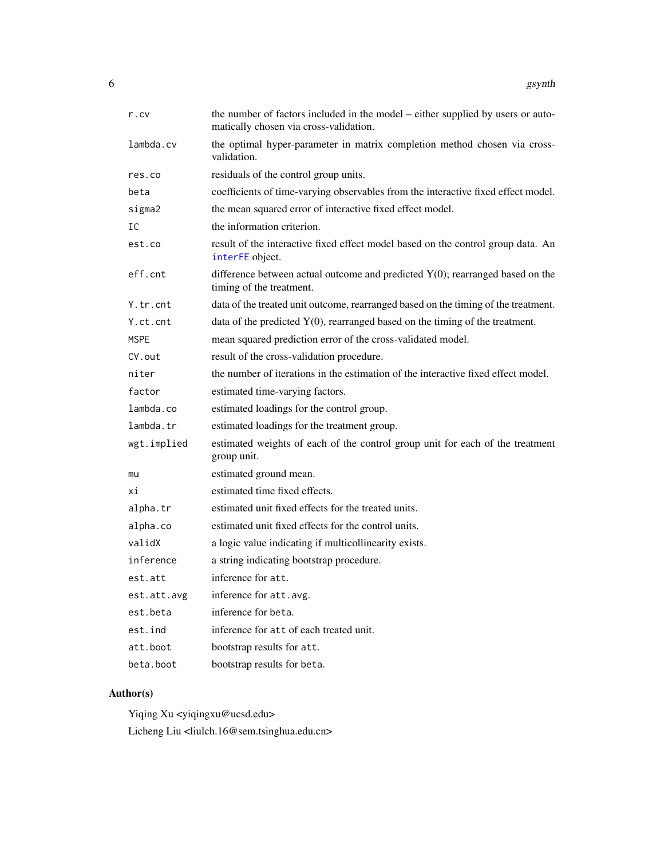<span id="page-5-0"></span>

| r.cv        | the number of factors included in the model – either supplied by users or auto-<br>matically chosen via cross-validation. |
|-------------|---------------------------------------------------------------------------------------------------------------------------|
| lambda.cv   | the optimal hyper-parameter in matrix completion method chosen via cross-<br>validation.                                  |
| res.co      | residuals of the control group units.                                                                                     |
| beta        | coefficients of time-varying observables from the interactive fixed effect model.                                         |
| sigma2      | the mean squared error of interactive fixed effect model.                                                                 |
| IC          | the information criterion.                                                                                                |
| est.co      | result of the interactive fixed effect model based on the control group data. An<br>interFE object.                       |
| eff.cnt     | difference between actual outcome and predicted $Y(0)$ ; rearranged based on the<br>timing of the treatment.              |
| Y.tr.cnt    | data of the treated unit outcome, rearranged based on the timing of the treatment.                                        |
| Y.ct.cnt    | data of the predicted $Y(0)$ , rearranged based on the timing of the treatment.                                           |
| <b>MSPE</b> | mean squared prediction error of the cross-validated model.                                                               |
| CV.out      | result of the cross-validation procedure.                                                                                 |
| niter       | the number of iterations in the estimation of the interactive fixed effect model.                                         |
| factor      | estimated time-varying factors.                                                                                           |
| lambda.co   | estimated loadings for the control group.                                                                                 |
| lambda.tr   | estimated loadings for the treatment group.                                                                               |
| wgt.implied | estimated weights of each of the control group unit for each of the treatment<br>group unit.                              |
| mu          | estimated ground mean.                                                                                                    |
| хi          | estimated time fixed effects.                                                                                             |
| alpha.tr    | estimated unit fixed effects for the treated units.                                                                       |
| alpha.co    | estimated unit fixed effects for the control units.                                                                       |
| validX      | a logic value indicating if multicollinearity exists.                                                                     |
| inference   | a string indicating bootstrap procedure.                                                                                  |
| est.att     | inference for att.                                                                                                        |
| est.att.avg | inference for att.avg.                                                                                                    |
| est.beta    | inference for beta.                                                                                                       |
| est.ind     | inference for att of each treated unit.                                                                                   |
| att.boot    | bootstrap results for att.                                                                                                |
| beta.boot   | bootstrap results for beta.                                                                                               |

# Author(s)

Yiqing Xu <yiqingxu@ucsd.edu> Licheng Liu <liulch.16@sem.tsinghua.edu.cn>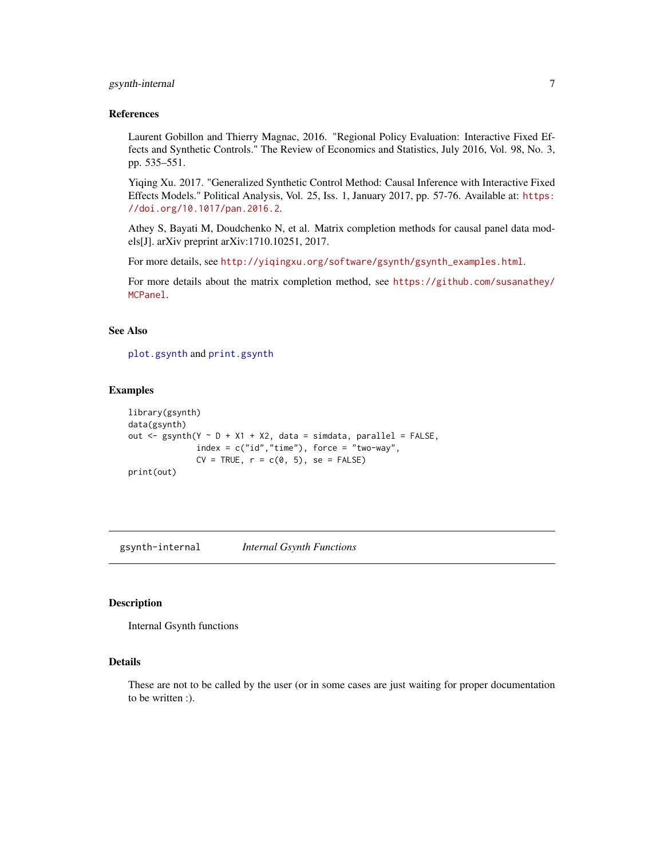# <span id="page-6-0"></span>gsynth-internal 7

### References

Laurent Gobillon and Thierry Magnac, 2016. "Regional Policy Evaluation: Interactive Fixed Effects and Synthetic Controls." The Review of Economics and Statistics, July 2016, Vol. 98, No. 3, pp. 535–551.

Yiqing Xu. 2017. "Generalized Synthetic Control Method: Causal Inference with Interactive Fixed Effects Models." Political Analysis, Vol. 25, Iss. 1, January 2017, pp. 57-76. Available at: [https:](https://doi.org/10.1017/pan.2016.2) [//doi.org/10.1017/pan.2016.2](https://doi.org/10.1017/pan.2016.2).

Athey S, Bayati M, Doudchenko N, et al. Matrix completion methods for causal panel data models[J]. arXiv preprint arXiv:1710.10251, 2017.

For more details, see [http://yiqingxu.org/software/gsynth/gsynth\\_examples.html](http://yiqingxu.org/software/gsynth/gsynth_examples.html).

For more details about the matrix completion method, see [https://github.com/susanathey/](https://github.com/susanathey/MCPanel) [MCPanel](https://github.com/susanathey/MCPanel).

### See Also

[plot.gsynth](#page-9-1) and [print.gsynth](#page-10-1)

### Examples

```
library(gsynth)
data(gsynth)
out \leq gsynth(Y \sim D + X1 + X2, data = simdata, parallel = FALSE,
              index = c("id", "time"), force = "two-way",CV = TRUE, r = c(0, 5), se = FALSE)print(out)
```
gsynth-internal *Internal Gsynth Functions*

### Description

Internal Gsynth functions

### Details

These are not to be called by the user (or in some cases are just waiting for proper documentation to be written :).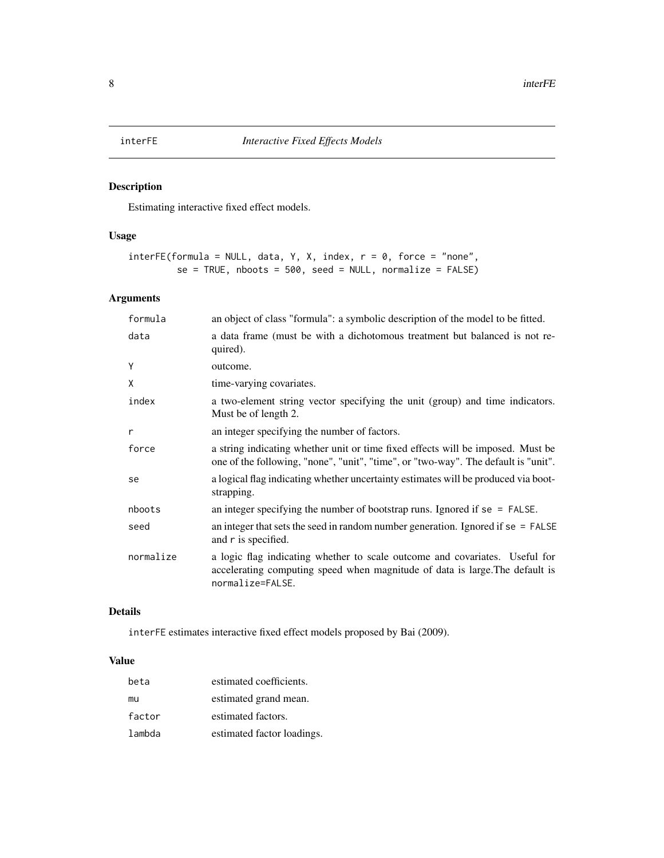# <span id="page-7-1"></span><span id="page-7-0"></span>Description

Estimating interactive fixed effect models.

# Usage

```
interFE(formula = NULL, data, Y, X, index, r = 0, force = "none",se = TRUE, nboots = 500, seed = NULL, normalize = FALSE)
```
# Arguments

| formula   | an object of class "formula": a symbolic description of the model to be fitted.                                                                                                 |
|-----------|---------------------------------------------------------------------------------------------------------------------------------------------------------------------------------|
| data      | a data frame (must be with a dichotomous treatment but balanced is not re-<br>quired).                                                                                          |
| Y         | outcome.                                                                                                                                                                        |
| X         | time-varying covariates.                                                                                                                                                        |
| index     | a two-element string vector specifying the unit (group) and time indicators.<br>Must be of length 2.                                                                            |
| r         | an integer specifying the number of factors.                                                                                                                                    |
| force     | a string indicating whether unit or time fixed effects will be imposed. Must be<br>one of the following, "none", "unit", "time", or "two-way". The default is "unit".           |
| se        | a logical flag indicating whether uncertainty estimates will be produced via boot-<br>strapping.                                                                                |
| nboots    | an integer specifying the number of bootstrap runs. Ignored if $se = FALSE$ .                                                                                                   |
| seed      | an integer that sets the seed in random number generation. Ignored if $se = FALSE$<br>and r is specified.                                                                       |
| normalize | a logic flag indicating whether to scale outcome and covariates. Useful for<br>accelerating computing speed when magnitude of data is large. The default is<br>normalize=FALSE. |

# Details

interFE estimates interactive fixed effect models proposed by Bai (2009).

# Value

| beta   | estimated coefficients.    |
|--------|----------------------------|
| mu     | estimated grand mean.      |
| factor | estimated factors.         |
| lambda | estimated factor loadings. |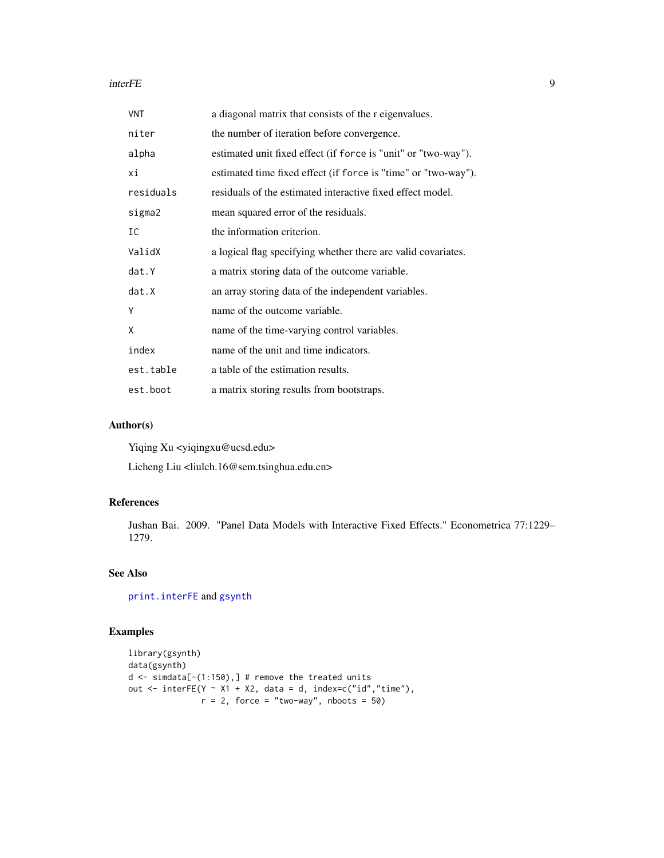### <span id="page-8-0"></span>interFE 9

| VNT       | a diagonal matrix that consists of the r eigenvalues.          |
|-----------|----------------------------------------------------------------|
| niter     | the number of iteration before convergence.                    |
| alpha     | estimated unit fixed effect (if force is "unit" or "two-way"). |
| хi        | estimated time fixed effect (if force is "time" or "two-way"). |
| residuals | residuals of the estimated interactive fixed effect model.     |
| sigma2    | mean squared error of the residuals.                           |
| IC        | the information criterion.                                     |
| ValidX    | a logical flag specifying whether there are valid covariates.  |
| dat.Y     | a matrix storing data of the outcome variable.                 |
| dat.X     | an array storing data of the independent variables.            |
| Υ         | name of the outcome variable.                                  |
| X         | name of the time-varying control variables.                    |
| index     | name of the unit and time indicators.                          |
| est.table | a table of the estimation results.                             |
| est.boot  | a matrix storing results from bootstraps.                      |

# Author(s)

Yiqing Xu <yiqingxu@ucsd.edu>

Licheng Liu <liulch.16@sem.tsinghua.edu.cn>

### References

Jushan Bai. 2009. "Panel Data Models with Interactive Fixed Effects." Econometrica 77:1229– 1279.

# See Also

[print.interFE](#page-11-1) and [gsynth](#page-2-1)

# Examples

```
library(gsynth)
data(gsynth)
d \leq simdata[-(1:150),] # remove the treated units
out \le interFE(Y \sim X1 + X2, data = d, index=c("id","time"),
               r = 2, force = "two-way", nboots = 50)
```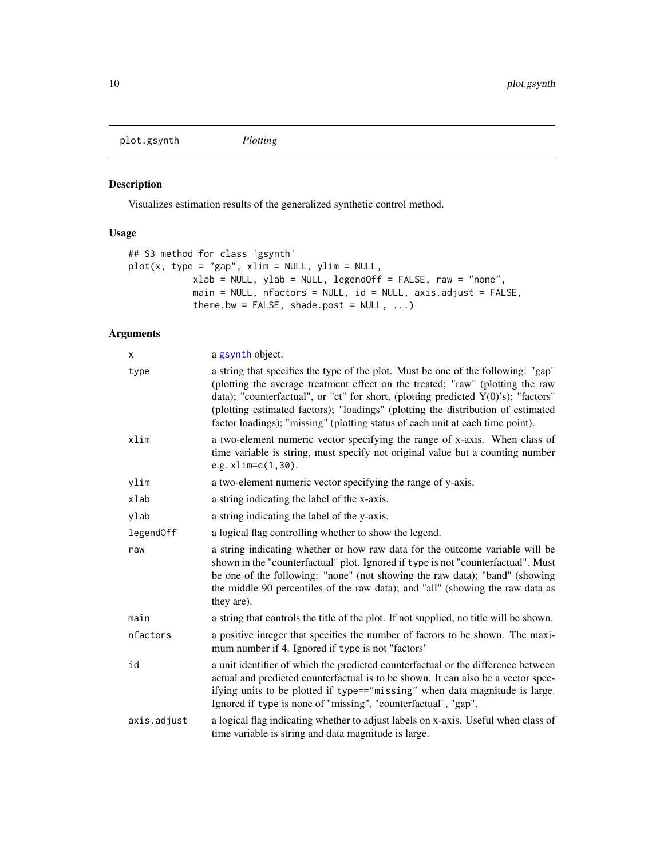<span id="page-9-1"></span><span id="page-9-0"></span>plot.gsynth *Plotting*

# Description

Visualizes estimation results of the generalized synthetic control method.

# Usage

```
## S3 method for class 'gsynth'
plot(x, type = "gap", xlim = NULL, ylim = NULL,
            xlab = NULL, ylab = NULL, legendOff = FALSE, raw = "none",
            main = NULL, nfactors = NULL, id = NULL, axis.adjust = FALSE,
            theme.bw = FALSE, shade.post = NULL, ...)
```
# Arguments

| x           | a gsynth object.                                                                                                                                                                                                                                                                                                                                                                                                                   |
|-------------|------------------------------------------------------------------------------------------------------------------------------------------------------------------------------------------------------------------------------------------------------------------------------------------------------------------------------------------------------------------------------------------------------------------------------------|
| type        | a string that specifies the type of the plot. Must be one of the following: "gap"<br>(plotting the average treatment effect on the treated; "raw" (plotting the raw<br>data); "counterfactual", or "ct" for short, (plotting predicted $Y(0)$ 's); "factors"<br>(plotting estimated factors); "loadings" (plotting the distribution of estimated<br>factor loadings); "missing" (plotting status of each unit at each time point). |
| xlim        | a two-element numeric vector specifying the range of x-axis. When class of<br>time variable is string, must specify not original value but a counting number<br>e.g. $xlim=c(1,30)$ .                                                                                                                                                                                                                                              |
| ylim        | a two-element numeric vector specifying the range of y-axis.                                                                                                                                                                                                                                                                                                                                                                       |
| xlab        | a string indicating the label of the x-axis.                                                                                                                                                                                                                                                                                                                                                                                       |
| ylab        | a string indicating the label of the y-axis.                                                                                                                                                                                                                                                                                                                                                                                       |
| legendOff   | a logical flag controlling whether to show the legend.                                                                                                                                                                                                                                                                                                                                                                             |
| raw         | a string indicating whether or how raw data for the outcome variable will be<br>shown in the "counterfactual" plot. Ignored if type is not "counterfactual". Must<br>be one of the following: "none" (not showing the raw data); "band" (showing<br>the middle 90 percentiles of the raw data); and "all" (showing the raw data as<br>they are).                                                                                   |
| main        | a string that controls the title of the plot. If not supplied, no title will be shown.                                                                                                                                                                                                                                                                                                                                             |
| nfactors    | a positive integer that specifies the number of factors to be shown. The maxi-<br>mum number if 4. Ignored if type is not "factors"                                                                                                                                                                                                                                                                                                |
| id          | a unit identifier of which the predicted counterfactual or the difference between<br>actual and predicted counterfactual is to be shown. It can also be a vector spec-<br>ifying units to be plotted if type=="missing" when data magnitude is large.<br>Ignored if type is none of "missing", "counterfactual", "gap".                                                                                                            |
| axis.adjust | a logical flag indicating whether to adjust labels on x-axis. Useful when class of<br>time variable is string and data magnitude is large.                                                                                                                                                                                                                                                                                         |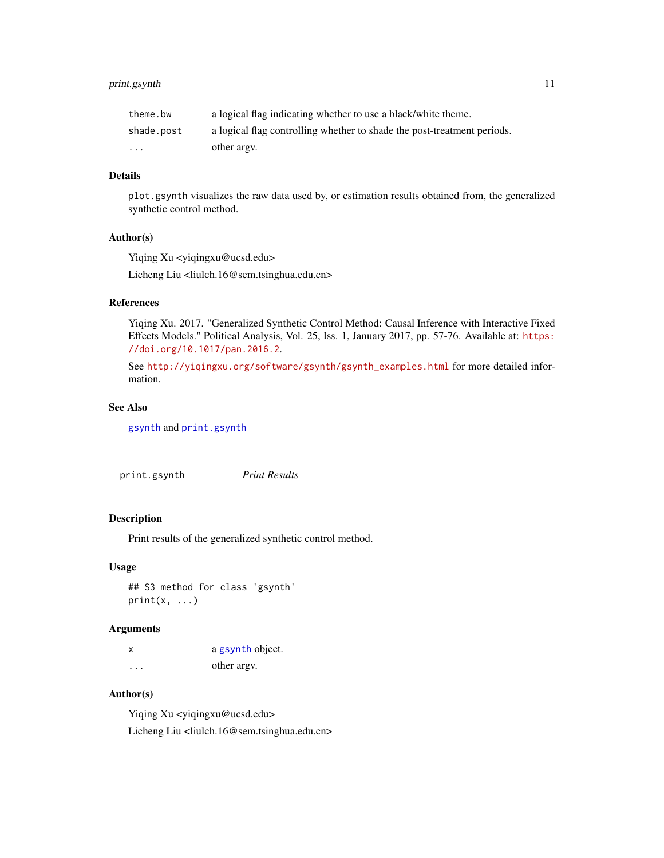# <span id="page-10-0"></span>print.gsynth 11

| theme.bw   | a logical flag indicating whether to use a black/white theme.           |
|------------|-------------------------------------------------------------------------|
| shade.post | a logical flag controlling whether to shade the post-treatment periods. |
| $\cdots$   | other argy.                                                             |

### Details

plot.gsynth visualizes the raw data used by, or estimation results obtained from, the generalized synthetic control method.

### Author(s)

Yiqing Xu <yiqingxu@ucsd.edu>

Licheng Liu <liulch.16@sem.tsinghua.edu.cn>

### References

Yiqing Xu. 2017. "Generalized Synthetic Control Method: Causal Inference with Interactive Fixed Effects Models." Political Analysis, Vol. 25, Iss. 1, January 2017, pp. 57-76. Available at: [https:](https://doi.org/10.1017/pan.2016.2) [//doi.org/10.1017/pan.2016.2](https://doi.org/10.1017/pan.2016.2).

See [http://yiqingxu.org/software/gsynth/gsynth\\_examples.html](http://yiqingxu.org/software/gsynth/gsynth_examples.html) for more detailed information.

### See Also

[gsynth](#page-2-1) and [print.gsynth](#page-10-1)

<span id="page-10-1"></span>print.gsynth *Print Results*

### Description

Print results of the generalized synthetic control method.

### Usage

## S3 method for class 'gsynth'  $print(x, \ldots)$ 

### Arguments

| X        | a gsynth object. |
|----------|------------------|
| $\cdots$ | other argy.      |

# Author(s)

Yiqing Xu <yiqingxu@ucsd.edu> Licheng Liu <liulch.16@sem.tsinghua.edu.cn>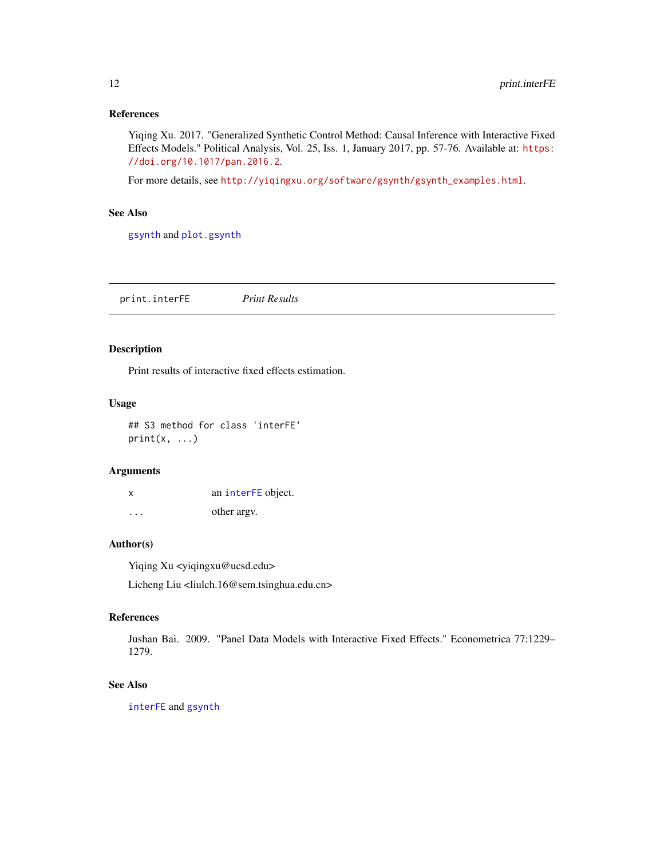# <span id="page-11-0"></span>References

Yiqing Xu. 2017. "Generalized Synthetic Control Method: Causal Inference with Interactive Fixed Effects Models." Political Analysis, Vol. 25, Iss. 1, January 2017, pp. 57-76. Available at: [https:](https://doi.org/10.1017/pan.2016.2) [//doi.org/10.1017/pan.2016.2](https://doi.org/10.1017/pan.2016.2).

For more details, see [http://yiqingxu.org/software/gsynth/gsynth\\_examples.html](http://yiqingxu.org/software/gsynth/gsynth_examples.html).

# See Also

[gsynth](#page-2-1) and [plot.gsynth](#page-9-1)

<span id="page-11-1"></span>print.interFE *Print Results*

### Description

Print results of interactive fixed effects estimation.

### Usage

## S3 method for class 'interFE'  $print(x, \ldots)$ 

### Arguments

| x       | an interFE object. |
|---------|--------------------|
| $\cdot$ | other argy.        |

# Author(s)

Yiqing Xu <yiqingxu@ucsd.edu>

Licheng Liu <liulch.16@sem.tsinghua.edu.cn>

### References

Jushan Bai. 2009. "Panel Data Models with Interactive Fixed Effects." Econometrica 77:1229– 1279.

### See Also

[interFE](#page-7-1) and [gsynth](#page-2-1)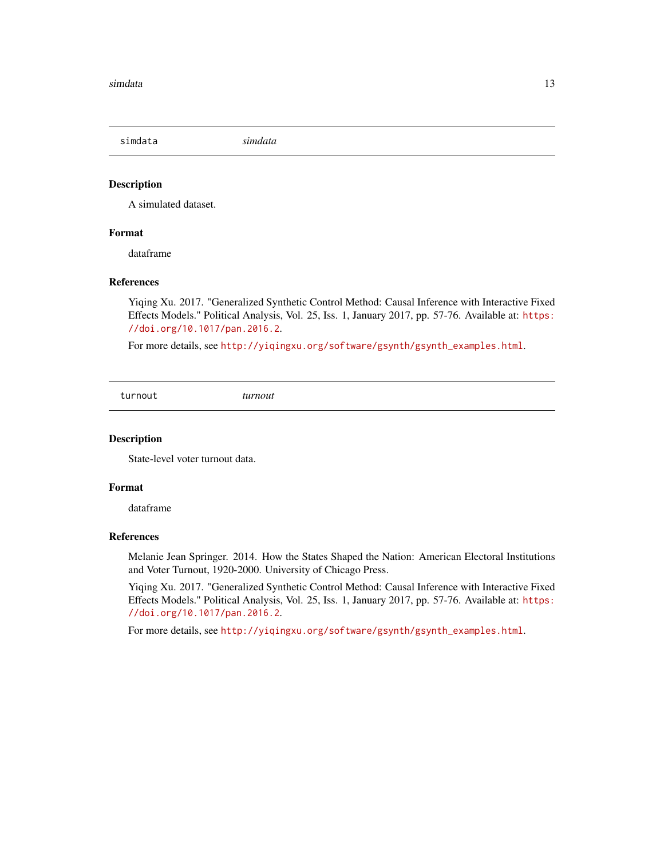<span id="page-12-0"></span>simdata *simdata*

# Description

A simulated dataset.

### Format

dataframe

### References

Yiqing Xu. 2017. "Generalized Synthetic Control Method: Causal Inference with Interactive Fixed Effects Models." Political Analysis, Vol. 25, Iss. 1, January 2017, pp. 57-76. Available at: [https:](https://doi.org/10.1017/pan.2016.2) [//doi.org/10.1017/pan.2016.2](https://doi.org/10.1017/pan.2016.2).

For more details, see [http://yiqingxu.org/software/gsynth/gsynth\\_examples.html](http://yiqingxu.org/software/gsynth/gsynth_examples.html).

turnout *turnout*

### Description

State-level voter turnout data.

### Format

dataframe

### References

Melanie Jean Springer. 2014. How the States Shaped the Nation: American Electoral Institutions and Voter Turnout, 1920-2000. University of Chicago Press.

Yiqing Xu. 2017. "Generalized Synthetic Control Method: Causal Inference with Interactive Fixed Effects Models." Political Analysis, Vol. 25, Iss. 1, January 2017, pp. 57-76. Available at: [https:](https://doi.org/10.1017/pan.2016.2) [//doi.org/10.1017/pan.2016.2](https://doi.org/10.1017/pan.2016.2).

For more details, see [http://yiqingxu.org/software/gsynth/gsynth\\_examples.html](http://yiqingxu.org/software/gsynth/gsynth_examples.html).